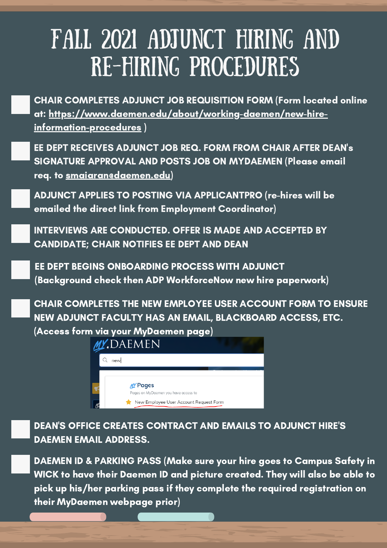# FALL 2021 ADJUNCT HIRING AND RE-HIRING PROCEDURES

CHAIR COMPLETES ADJUNCT JOB REQUISITION FORM (Form located online at: [https://www.daemen.edu/about/working-daemen/new-hire](https://www.daemen.edu/about/working-daemen/new-hire-information-procedures)information-procedures )

EE DEPT RECEIVES ADJUNCT JOB REQ. FORM FROM CHAIR AFTER DEAN's SIGNATURE APPROVAL AND POSTS JOB ON MYDAEMEN (Please email req. to [smaiaran@daemen.edu](mailto:smaiaran@daemen.edu))

ADJUNCT APPLIES TO POSTING VIA APPLICANTPRO (re-hires will be emailed the direct link from Employment Coordinator)

INTERVIEWS ARE CONDUCTED. OFFER IS MADE AND ACCEPTED BY CANDIDATE; CHAIR NOTIFIES EE DEPT AND DEAN

EE DEPT BEGINS ONBOARDING PROCESS WITH ADJUNCT (Background check then ADP WorkforceNow new hire paperwork)

CHAIR COMPLETES THE NEW EMPLOYEE USER ACCOUNT FORM TO ENSURE NEW ADJUNCT FACULTY HAS AN EMAIL, BLACKBOARD ACCESS, ETC. (Access form via your MyDaemen page)



DEAN'S OFFICE CREATES CONTRACT AND EMAILS TO ADJUNCT HIRE'S DAEMEN EMAIL ADDRESS.

DAEMEN ID & PARKING PASS (Make sure your hire goes to Campus Safety in WICK to have their Daemen ID and picture created. They will also be able to pick up his/her parking pass if they complete the required registration on their MyDaemen webpage prior)